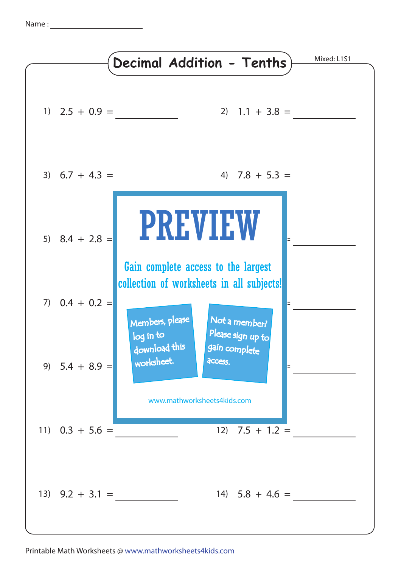